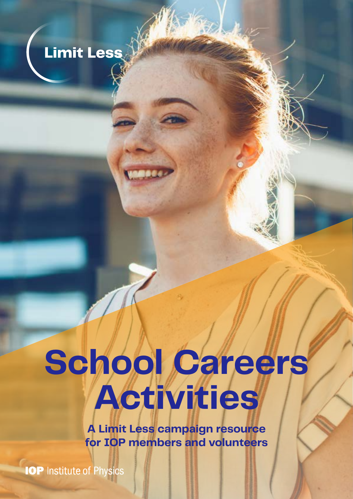

# **School Careers Activities**

**A Limit Less campaign resource for IOP members and volunteers**

**IOP** Institute of Physics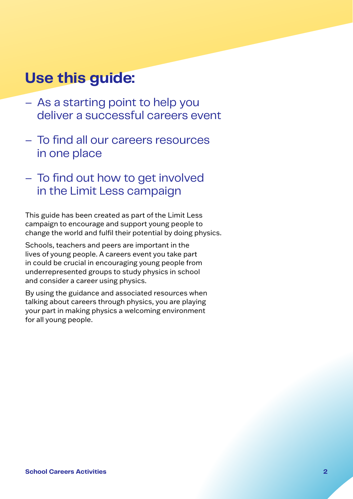## **Use this guide:**

- As a starting point to help you deliver a successful careers event
- To find all our careers resources in one place
- To find out how to get involved in the Limit Less campaign

This guide has been created as part of the Limit Less campaign to encourage and support young people to change the world and fulfil their potential by doing physics.

Schools, teachers and peers are important in the lives of young people. A careers event you take part in could be crucial in encouraging young people from underrepresented groups to study physics in school and consider a career using physics.

By using the guidance and associated resources when talking about careers through physics, you are playing your part in making physics a welcoming environment for all young people.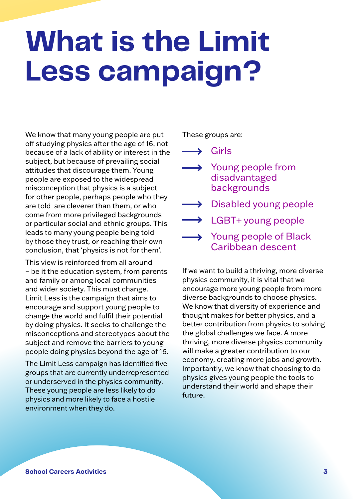## **What is the Limit Less campaign?**

We know that many young people are put off studying physics after the age of 16, not because of a lack of ability or interest in the subject, but because of prevailing social attitudes that discourage them. Young people are exposed to the widespread misconception that physics is a subject for other people, perhaps people who they are told are cleverer than them, or who come from more privileged backgrounds or particular social and ethnic groups. This leads to many young people being told by those they trust, or reaching their own conclusion, that 'physics is not for them'.

This view is reinforced from all around – be it the education system, from parents and family or among local communities and wider society. This must change. Limit Less is the campaign that aims to encourage and support young people to change the world and fulfil their potential by doing physics. It seeks to challenge the misconceptions and stereotypes about the subject and remove the barriers to young people doing physics beyond the age of 16.

The Limit Less campaign has identified five groups that are currently underrepresented or underserved in the physics community. These young people are less likely to do physics and more likely to face a hostile environment when they do.

These groups are:

 $\longrightarrow$  Girls

- $\rightarrow$  Young people from disadvantaged backgrounds
- Disabled young people
- $\rightarrow$  LGBT+ young people
- $\rightarrow$  Young people of Black Caribbean descent

If we want to build a thriving, more diverse physics community, it is vital that we encourage more young people from more diverse backgrounds to choose physics. We know that diversity of experience and thought makes for better physics, and a better contribution from physics to solving the global challenges we face. A more thriving, more diverse physics community will make a greater contribution to our economy, creating more jobs and growth. Importantly, we know that choosing to do physics gives young people the tools to understand their world and shape their future.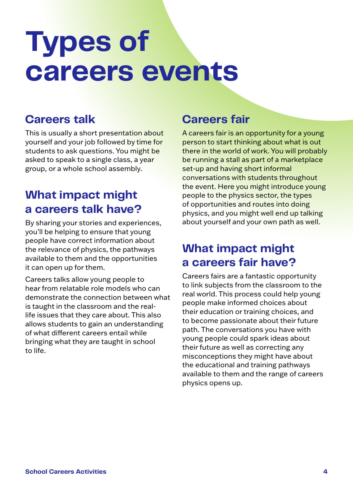## **Types of careers events**

#### **Careers talk**

This is usually a short presentation about yourself and your job followed by time for students to ask questions. You might be asked to speak to a single class, a year group, or a whole school assembly.

#### **What impact might a careers talk have?**

By sharing your stories and experiences, you'll be helping to ensure that young people have correct information about the relevance of physics, the pathways available to them and the opportunities it can open up for them.

Careers talks allow young people to hear from relatable role models who can demonstrate the connection between what is taught in the classroom and the reallife issues that they care about. This also allows students to gain an understanding of what different careers entail while bringing what they are taught in school to life.

#### **Careers fair**

A careers fair is an opportunity for a young person to start thinking about what is out there in the world of work. You will probably be running a stall as part of a marketplace set-up and having short informal conversations with students throughout the event. Here you might introduce young people to the physics sector, the types of opportunities and routes into doing physics, and you might well end up talking about yourself and your own path as well.

#### **What impact might a careers fair have?**

Careers fairs are a fantastic opportunity to link subjects from the classroom to the real world. This process could help young people make informed choices about their education or training choices, and to become passionate about their future path. The conversations you have with young people could spark ideas about their future as well as correcting any misconceptions they might have about the educational and training pathways available to them and the range of careers physics opens up.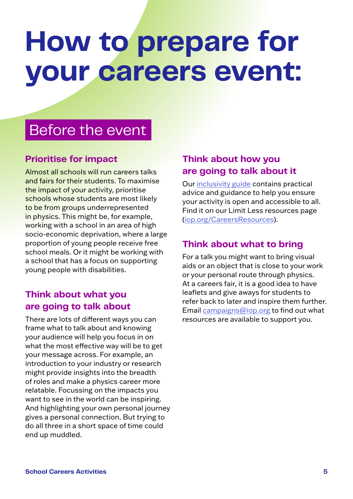## **How to prepare for your careers event:**

## Before the event

#### **Prioritise for impact**

Almost all schools will run careers talks and fairs for their students. To maximise the impact of your activity, prioritise schools whose students are most likely to be from groups underrepresented in physics. This might be, for example, working with a school in an area of high socio-economic deprivation, where a large proportion of young people receive free school meals. Or it might be working with a school that has a focus on supporting young people with disabilities.

#### **Think about what you are going to talk about**

There are lots of different ways you can frame what to talk about and knowing your audience will help you focus in on what the most effective way will be to get your message across. For example, an introduction to your industry or research might provide insights into the breadth of roles and make a physics career more relatable. Focussing on the impacts you want to see in the world can be inspiring. And highlighting your own personal journey gives a personal connection. But trying to do all three in a short space of time could end up muddled.

#### **Think about how you are going to talk about it**

Our [inclusivity guide](http://iop.org/inclusive-careers-tips-volunteers) contains practical advice and guidance to help you ensure your activity is open and accessible to all. Find it on our Limit Less resources page [\(iop.org/CareersResources\)](http://iop.org/CareersResources).

#### **Think about what to bring**

For a talk you might want to bring visual aids or an object that is close to your work or your personal route through physics. At a careers fair, it is a good idea to have leaflets and give aways for students to refer back to later and inspire them further. Email [campaigns@iop.org](mailto:campaigns%40iop.org?subject=) to find out what resources are available to support you.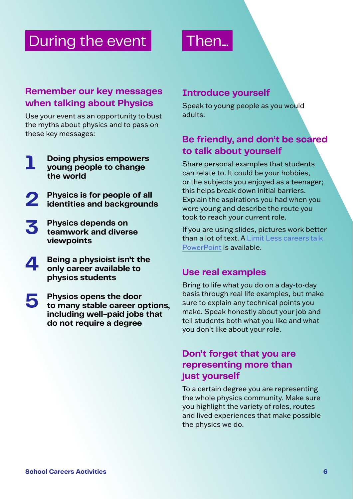### During the event

## Then...

#### **Remember our key messages when talking about Physics**

Use your event as an opportunity to bust the myths about physics and to pass on these key messages:

- **1 Doing physics empowers young people to change the world**
- **2 Physics is for people of all identities and backgrounds**
- **3 Physics depends on teamwork and diverse viewpoints**
- **4 Being a physicist isn't the only career available to physics students**
- **5 Physics opens the door to many stable career options, including well-paid jobs that do not require a degree**

#### **Introduce yourself**

Speak to young people as you would adults.

#### **Be friendly, and don't be scared to talk about yourself**

Share personal examples that students can relate to. It could be your hobbies, or the subjects you enjoyed as a teenager; this helps break down initial barriers. Explain the aspirations you had when you were young and describe the route you took to reach your current role.

If you are using slides, pictures work better than a lot of text. A [Limit Less career](http://iop.org/Limit-Less-careers-talk-volunteers)s talk [PowerPoint](http://iop.org/Limit-Less-careers-talk-volunteers) is available.

#### **Use real examples**

Bring to life what you do on a day-to-day basis through real life examples, but make sure to explain any technical points you make. Speak honestly about your job and tell students both what you like and what you don't like about your role.

#### **Don't forget that you are representing more than just yourself**

To a certain degree you are representing the whole physics community. Make sure you highlight the variety of roles, routes and lived experiences that make possible the physics we do.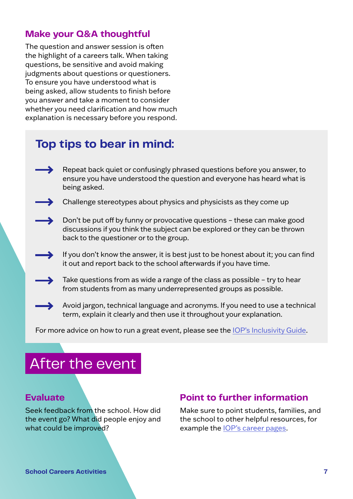#### **Make your Q&A thoughtful**

The question and answer session is often the highlight of a careers talk. When taking questions, be sensitive and avoid making judgments about questions or questioners. To ensure you have understood what is being asked, allow students to finish before you answer and take a moment to consider whether you need clarification and how much explanation is necessary before you respond.

#### **Top tips to bear in mind:**

- Repeat back quiet or confusingly phrased questions before you answer, to ensure you have understood the question and everyone has heard what is being asked.
- Challenge stereotypes about physics and physicists as they come up
	- Don't be put off by funny or provocative questions these can make good discussions if you think the subject can be explored or they can be thrown back to the questioner or to the group.
	- If you don't know the answer, it is best just to be honest about it; you can find it out and report back to the school afterwards if you have time.
	- Take questions from as wide a range of the class as possible try to hear from students from as many underrepresented groups as possible.
	- Avoid jargon, technical language and acronyms. If you need to use a technical term, explain it clearly and then use it throughout your explanation.

For more advice on how to run a great event, please see the [IOP's Inclusivity Guide](http://iop.org/inclusive-careers-tips-volunteers).

### After the event

#### **Evaluate**

Seek feedback from the school. How did the event go? What did people enjoy and what could be improved?

#### **Point to further information**

Make sure to point students, families, and the school to other helpful resources, for example the [IOP's career pages.](http://iop.org/careers-physics)